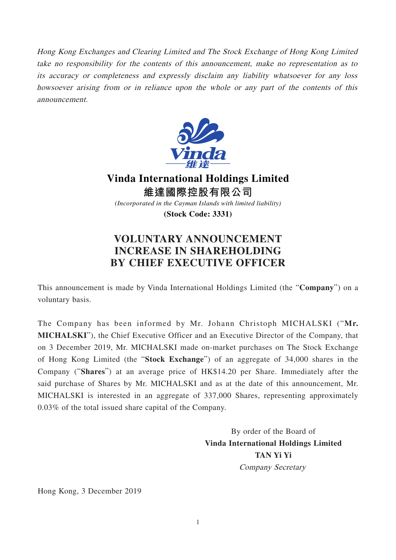Hong Kong Exchanges and Clearing Limited and The Stock Exchange of Hong Kong Limited take no responsibility for the contents of this announcement, make no representation as to its accuracy or completeness and expressly disclaim any liability whatsoever for any loss howsoever arising from or in reliance upon the whole or any part of the contents of this announcement.



**Vinda International Holdings Limited 維達國際控股有限公司** *(Incorporated in the Cayman Islands with limited liability)*

**(Stock Code: 3331)**

## **VOLUNTARY ANNOUNCEMENT INCREASE IN SHAREHOLDING BY CHIEF EXECUTIVE OFFICER**

This announcement is made by Vinda International Holdings Limited (the "**Company**") on a voluntary basis.

The Company has been informed by Mr. Johann Christoph MICHALSKI ("**Mr. MICHALSKI**"), the Chief Executive Officer and an Executive Director of the Company, that on 3 December 2019, Mr. MICHALSKI made on-market purchases on The Stock Exchange of Hong Kong Limited (the "**Stock Exchange**") of an aggregate of 34,000 shares in the Company ("**Shares**") at an average price of HK\$14.20 per Share. Immediately after the said purchase of Shares by Mr. MICHALSKI and as at the date of this announcement, Mr. MICHALSKI is interested in an aggregate of 337,000 Shares, representing approximately 0.03% of the total issued share capital of the Company.

> By order of the Board of **Vinda International Holdings Limited TAN Yi Yi** Company Secretary

Hong Kong, 3 December 2019